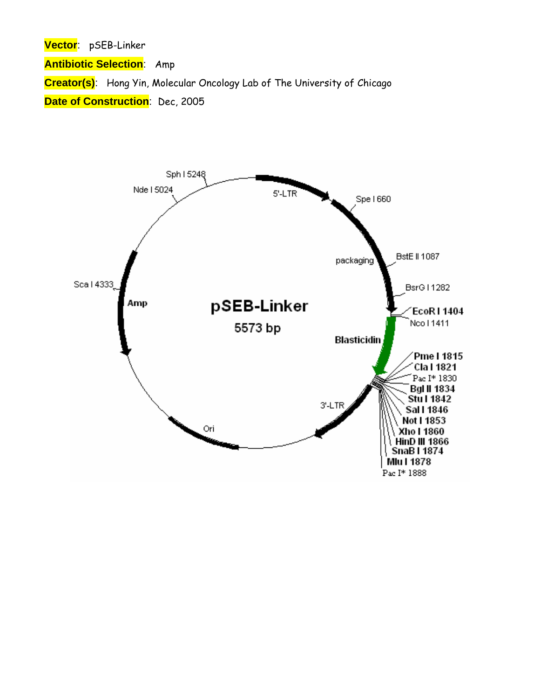**Vector**: pSEB-Linker

**Antibiotic Selection**: Amp

**Creator(s)**: Hong Yin, Molecular Oncology Lab of The University of Chicago

**Date of Construction**: Dec, 2005

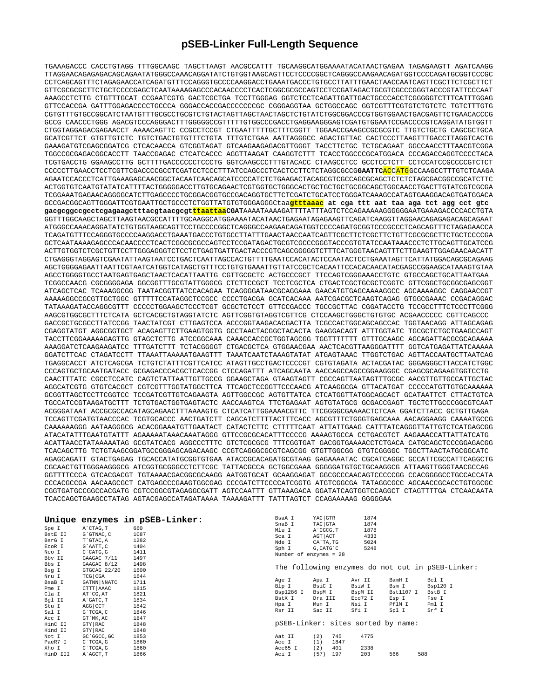## **pSEB-Linker Full-Length Sequence**

TGAAAGACCC CACCTGTAGG TTTGGCAAGC TAGCTTAAGT AACGCCATTT TGCAAGGCATGGAAAATACATAACTGAGAA TAGAGAAGTT AGATCAAGG TTAGGAACAGAGAGACAGCAGAATATGGGCCAAACAGGATATCTGTGGTAAGCAGTTCCTCCCCGGCTCAGGGCCAAGAACAGATGGTCCCCAGATGCGGTCCCGC CCTCAGCAGTTTCTAGAGAACCATCAGATGTTTCCAGGGTGCCCCAAGGACCTGAAATGACCCTGTGCCTTATTTGAACTAACCAATCAGTTCGCTTCTCGCTTCT GTTCGCGCGCTTCTGCTCCCCGAGCTCAATAAAAGAGCCCACAACCCCTCACTCGGCGCGCCAGTCCTCCGATAGACTGCGTCGCCCGGGTACCCGTATTCCCAAT AAAGCCTCTTG CTGTTTGCAT CCGAATCGTG GACTCGCTGA TCCTTGGGAG GGTCTCCTCAGATTGATTGACTGCCCACCTCGGGGGTCTTTCATTTGGAG GTTCCACCGA GATTTGGAGACCCCTGCCCA GGGACCACCGACCCCCCCGC CGGGAGGTAA GCTGGCCAGC GGTCGTTTCGTGTCTGTCTC TGTCTTTGTG CGTGTTTGTGCCGGCATCTAATGTTTGCGCCTGCGTCTGTACTAGTTAGCTAACTAGCTCTGTATCTGGCGGACCCGTGGTGGAACTGACGAGTTCTGAACACCCG GCCG CAACCCTGGG AGACGTCCCAGGGACTTTGGGGGCCGTTTTTGTGGCCCGACCTGAGGAAGGGAGTCGATGTGGAATCCGACCCCGTCAGGATATGTGGTT CTGGTAGGAGACGAGAACCT AAAACAGTTC CCGCCTCCGT CTGAATTTTTGCTTTCGGTT TGGAACCGAAGCCGCGCGTC TTGTCTGCTG CAGCGCTGCA GCATCGTTCT GTGTTGTCTC TGTCTGACTGTGTTTCTGTA TTTGTCTGAA AATTAGGGCC AGACTGTTAC CACTCCCTTAAGTTTGACCTTAGGTCACTG GAAAGATGTCGAGCGGATCG CTCACAACCA GTCGGTAGAT GTCAAGAAGAGACGTTGGGT TACCTTCTGC TCTGCAGAAT GGCCAACCTTTAACGTCGGA TGGCCGCGAGACGGCACCTT TAACCGAGAC CTCATCACCC AGGTTAAGAT CAAGGTCTTT TCACCTGGCCCGCATGGACA CCCAGACCAGGTCCCCTACA TCGTGACCTG GGAAGCCTTG GCTTTTGACCCCCCTCCCTG GGTCAAGCCCTTTGTACACC CTAAGCCTCC GCCTCCTCTT CCTCCATCCGCCCCGTCTCT CCCCCTTGAACCTCCTCGTTCGACCCCGCCTCGATCCTCCCTTTATCCAGCCCTCACTCCTTCTCTAGGCGCCG**GAATTC**ACCATGGCCAAGCCTTTGTCTCAAGA AGAATCCACCCTCATTGAAAGAGCAACGGCTACAATCAACAGCATCCCCATCTCTGAAGACTACAGCGTCGCCAGCGCAGCTCTCTCTAGCGACGGCCGCATCTTC ACTGGTGTCAATGTATATCATTTTACTGGGGGACCTTGTGCAGAACTCGTGGTGCTGGGCACTGCTGCTGCTGCGGCAGCTGGCAACCTGACTTGTATCGTCGCGA TCGGAAATGAGAACAGGGGCATCTTGAGCCCCTGCGGACGGTGCCGACAGGTGCTTCTCGATCTGCATCCTGGGATCAAAGCCATAGTGAAGGACAGTGATGGACA GCCGACGGCAGTTGGGATTCGTGAATTGCTGCCCTCTGGTTATGTGTGGGAGGGCtaa**gtttaaac at cga ttt aat taa aga tct agg cct gtc gacgcggccgcctcgagaagctttacgtaacgcgtttaattaaCGAT**AAAATAAAAGATTTTATTTAGTCTCCAGAAAAAGGGGGGAATGAAAGACCCCACCTGTA GGTTTGGCAAGCTAGCTTAAGTAACGCCATTTTGCAAGGCATGGAAAATACATAACTGAGAATAGAGAAGTTCAGATCAAGGTTAGGAACAGAGAGACAGCAGAAT ATGGGCCAAACAGGATATCTGTGGTAAGCAGTTCCTGCCCCGGCTCAGGGCCAAGAACAGATGGTCCCCAGATGCGGTCCCGCCCTCAGCAGTTTCTAGAGAACCA TCAGATGTTTCCAGGGTGCCCCAAGGACCTGAAATGACCCTGTGCCTTATTTGAACTAACCAATCAGTTCGCTTCTCGCTTCTGTTCGCGCGCTTCTGCTCCCCGA GCTCAATAAAAGAGCCCACAACCCCTCACTCGGCGCGCCAGTCCTCCGATAGACTGCGTCGCCCGGGTACCCGTGTATCCAATAAACCCTCTTGCAGTTGCATCCG ACTTGTGGTCTCGCTGTTCCTTGGGAGGGTCTCCTCTGAGTGATTGACTACCCGTCAGCGGGGGTCTTTCATGGGTAACAGTTTCTTGAAGTTGGAGAACAACATT CTGAGGGTAGGAGTCGAATATTAAGTAATCCTGACTCAATTAGCCACTGTTTTGAATCCACATACTCCAATACTCCTGAAATAGTTCATTATGGACAGCGCAGAAG AGCTGGGGAGAATTAATTCGTAATCATGGTCATAGCTGTTTCCTGTGTGAAATTGTTATCCGCTCACAATTCCACACAACATACGAGCCGGAAGCATAAAGTGTAA AGCCTGGGGTGCCTAATGAGTGAGCTAACTCACATTAATTG CGTTGCGCTC ACTGCCCGCT TTCCAGTCGGGAAACCTGTC GTGCCAGCTGCATTAATGAA TCGGCCAACG CGCGGGGAGA GGCGGTTTGCGTATTGGGCG CTCTTCCGCT TCCTCGCTCA CTGACTCGCTGCGCTCGGTC GTTCGGCTGCGGCGAGCGGT ATCAGCTCAC TCAAAGGCGG TAATACGGTTATCCACAGAA TCAGGGGATAACGCAGGAAA GAACATGTGAGCAAAAGGCC AGCAAAAGGC CAGGAACCGT AAAAAGGCCGCGTTGCTGGC GTTTTTCCATAGGCTCCGCC CCCCTGACGA GCATCACAAA AATCGACGCTCAAGTCAGAG GTGGCGAAAC CCGACAGGAC TATAAAGATACCAGGCGTTT CCCCCTGGAAGCTCCCTCGT GCGCTCTCCT GTTCCGACCC TGCCGCTTAC CGGATACCTG TCCGCCTTTCTCCCTTCGGG AAGCGTGGCGCTTTCTCATA GCTCACGCTGTAGGTATCTC AGTTCGGTGTAGGTCGTTCG CTCCAAGCTGGGCTGTGTGC ACGAACCCCC CGTTCAGCCC GACCGCTGCGCCTTATCCGG TAACTATCGT CTTGAGTCCA ACCCGGTAAGACACGACTTA TCGCCACTGGCAGCAGCCAC TGGTAACAGG ATTAGCAGAG CGAGGTATGT AGGCGGTGCT ACAGAGTTCTTGAAGTGGTG GCCTAACTACGGCTACACTA GAAGGACAGT ATTTGGTATC TGCGCTCTGCTGAAGCCAGT TACCTTCGGAAAAAGAGTTG GTAGCTCTTG ATCCGGCAAA CAAACCACCGCTGGTAGCGG TGGTTTTTTT GTTTGCAAGC AGCAGATTACGCGCAGAAAA AAAGGATCTCAAGAAGATCC TTTGATCTTT TCTACGGGGT CTGACGCTCA GTGGAACGAA AACTCACGTTAAGGGATTTT GGTCATGAGATTATCAAAAA GGATCTTCAC CTAGATCCTT TTAAATTAAAAATGAAGTTT TAAATCAATCTAAAGTATAT ATGAGTAAAC TTGGTCTGAC AGTTACCAATGCTTAATCAG TGAGGCACCT ATCTCAGCGA TCTGTCTATTTCGTTCATCC ATAGTTGCCTGACTCCCCGT CGTGTAGATA ACTACGATAC GGGAGGGCTTACCATCTGGC CCCAGTGCTGCAATGATACC GCGAGACCCACGCTCACCGG CTCCAGATTT ATCAGCAATA AACCAGCCAGCCGGAAGGGC CGAGCGCAGAAGTGGTCCTG CAACTTTATC CGCCTCCATC CAGTCTATTAATTGTTGCCG GGAAGCTAGA GTAAGTAGTT CGCCAGTTAATAGTTTGCGC AACGTTGTTGCCATTGCTAC AGGCATCGTG GTGTCACGCT CGTCGTTTGGTATGGCTTCA TTCAGCTCCGGTTCCCAACG ATCAAGGCGA GTTACATGAT CCCCCATGTTGTGCAAAAAA GCGGTTAGCTCCTTCGGTCC TCCGATCGTTGTCAGAAGTA AGTTGGCCGC AGTGTTATCA CTCATGGTTATGGCAGCACT GCATAATTCT CTTACTGTCA TGCCATCCGTAAGATGCTTT TCTGTGACTGGTGAGTACTC AACCAAGTCA TTCTGAGAAT AGTGTATGCG GCGACCGAGT TGCTCTTGCCCGGCGTCAAT ACGGGATAAT ACCGCGCCACATAGCAGAACTTTAAAAGTG CTCATCATTGGAAAACGTTC TTCGGGGCGAAAACTCTCAA GGATCTTACC GCTGTTGAGA TCCAGTTCGATGTAACCCAC TCGTGCACCC AACTGATCTT CAGCATCTTTTACTTTCACC AGCGTTTCTGGGTGAGCAAA AACAGGAAGG CAAAATGCCG CAAAAAAGGG AATAAGGGCG ACACGGAAATGTTGAATACT CATACTCTTC CTTTTTCAAT ATTATTGAAG CATTTATCAGGGTTATTGTCTCATGAGCGG ATACATATTTGAATGTATTT AGAAAAATAAACAAATAGGG GTTCCGCGCACATTTCCCCG AAAAGTGCCA CCTGACGTCT AAGAAACCATTATTATCATG ACATTAACCTATAAAAATAG GCGTATCACG AGGCCCTTTC GTCTCGCGCG TTTCGGTGAT GACGGTGAAAACCTCTGACA CATGCAGCTCCCGGAGACGG TCACAGCTTG TCTGTAAGCGGATGCCGGGAGCAGACAAGC CCGTCAGGGCGCGTCAGCGG GTGTTGGCGG GTGTCGGGGC TGGCTTAACTATGCGGCATC AGAGCAGATT GTACTGAGAG TGCACCATATGCGGTGTGAA ATACCGCACAGATGCGTAAG GAGAAAATAC CGCATCAGGC GCCATTCGCCATTCAGGCTG CGCAACTGTTGGGAAGGGCG ATCGGTGCGGGCCTCTTCGC TATTACGCCA GCTGGCGAAA GGGGGATGTGCTGCAAGGCG ATTAAGTTGGGTAACGCCAG GGTTTTCCCA GTCACGACGT TGTAAAACGACGGCGCAAGG AATGGTGCAT GCAAGGAGAT GGCGCCCAACAGTCCCCCGG CCACGGGGCCTGCCACCATA CCCACGCCGA AACAAGCGCT CATGAGCCCGAAGTGGCGAG CCCGATCTTCCCCATCGGTG ATGTCGGCGA TATAGGCGCC AGCAACCGCACCTGTGGCGC CGGTGATGCCGGCCACGATG CGTCCGGCGTAGAGGCGATT AGTCCAATTT GTTAAAGACA GGATATCAGTGGTCCAGGCT CTAGTTTTGA CTCAACAATA TCACCAGCTGAAGCCTATAG AGTACGAGCCATAGATAAAA TAAAAGATTT TATTTAGTCT CCAGAAAAAG GGGGGAA

| Unique<br>Spe I<br>BstE II<br>BsrG I<br>ECOR I<br>Nco I<br>Bbv II | A`CTAG, T<br>G`GTNAC, C<br>T`GTAC, A<br>G`AATT, C<br>$C$ $CATG$ , $G$<br>GAAGAC 7/11 | enzymes in pSEB-Linker:<br>660<br>1087<br>1282<br>1404<br>1411<br>1497 | BsaA I<br>SnaB I<br>Mlu I<br>Sca I<br>Nde I<br>Sph I<br>Number of enzymes = 28 | YAC GTR<br>TAC GTA<br>A CGCG, T<br>AGT ACT<br>CA`TA, TG<br>G, CATG C | 1874<br>1874<br>1878<br>4333<br>5024<br>5248 |                    |                                                  |
|-------------------------------------------------------------------|--------------------------------------------------------------------------------------|------------------------------------------------------------------------|--------------------------------------------------------------------------------|----------------------------------------------------------------------|----------------------------------------------|--------------------|--------------------------------------------------|
| Bbs I<br>Bsg I<br>Nru I                                           | GAAGAC 8/12<br>GTGCAG 22/20<br>TCG CGA                                               | 1498<br>1600<br>1644                                                   |                                                                                |                                                                      |                                              |                    | The following enzymes do not cut in pSEB-Linker: |
| BsaB I<br>Pme I                                                   | GATNN NNATC<br>CTTT AAAC                                                             | 1711<br>1815                                                           | Age I<br>Blp I                                                                 | Apa I<br>BsiC I                                                      | Avr II<br>BsiW I                             | BamH I<br>Bsm I    | Bcl I<br>Bsp120 I                                |
| Cla I<br>Bgl II                                                   | AT CG, AT<br>A`GATC, T                                                               | 1821<br>1834                                                           | Bsp1286 I<br>BstX I                                                            | BspM I<br>Dra III                                                    | BspM II<br>Eco72 I                           | Bst1107 I<br>Esp I | BstB I<br>Fse I                                  |
| Stu I<br>Sal I                                                    | AGG CCT<br>G`TCGA, C                                                                 | 1842<br>1846                                                           | Hpa I<br>Rsr II                                                                | Mun I<br>Sac II                                                      | Nsi I<br>Sfi I                               | PflM I<br>Spl I    | Pml I<br>Srf I                                   |
| Acc I<br>HinC II                                                  | GT MK, AC<br>GTY RAC                                                                 | 1847<br>1848                                                           |                                                                                | pSEB-Linker: sites sorted by name:                                   |                                              |                    |                                                  |
| Hind II<br>Not I<br>PaeR7 I                                       | GTY RAC<br>GC`GGCC, GC                                                               | 1848<br>1853<br>1860                                                   | Aat II                                                                         | (2)<br>745                                                           | 4775                                         |                    |                                                  |
| Xho I<br>HinD III                                                 | C`TCGA, G<br>C`TCGA, G<br>A`AGCT, T                                                  | 1860<br>1866                                                           | Acc I<br>Acc65 I<br>Aci I                                                      | (1)<br>1847<br>(2)<br>401<br>(57)<br>197                             | 2338<br>203                                  | 588<br>566         |                                                  |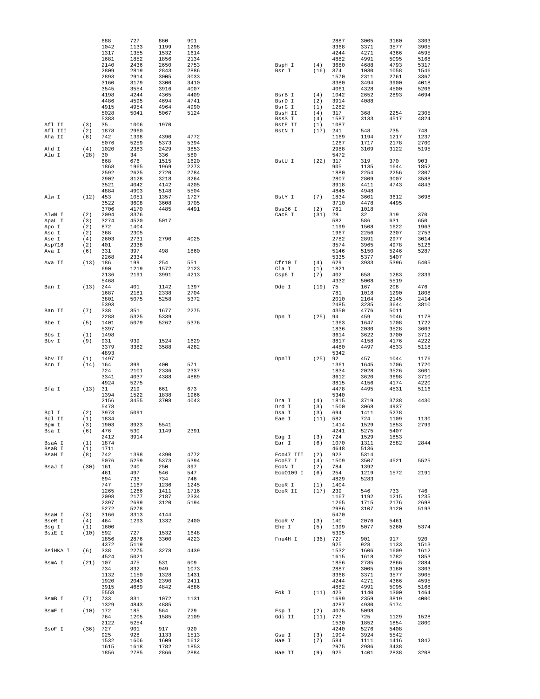|                 |                   | 688<br>1042<br>1317 | 727<br>1133<br>1355 | 860<br>1199<br>1532 | 901<br>1298<br>1614 |                      |             | 2887<br>3368<br>4244 | 3005<br>3371<br>4271 | 3160<br>3577<br>4366 | 3303<br>3905<br>4595 |
|-----------------|-------------------|---------------------|---------------------|---------------------|---------------------|----------------------|-------------|----------------------|----------------------|----------------------|----------------------|
|                 |                   | 1681                | 1852                | 1856                | 2134                |                      |             | 4882                 | 4991                 | 5095                 | 5168                 |
|                 |                   | 2140<br>2809        | 2436<br>2819        | 2650<br>2843        | 2753<br>2886        | BspH I<br>Bsr I      | (4)<br>(16) | 3680<br>374          | 4688<br>1030         | 4793<br>1058         | 5317<br>1546         |
|                 |                   | 2893                | 2914                | 3005                | 3033                |                      |             | 1570                 | 2311                 | 2761                 | 3367                 |
|                 |                   | 3160                | 3179                | 3300                | 3410                |                      |             | 3380                 | 3494                 | 3900                 | 4018                 |
|                 |                   | 3545<br>4198        | 3554<br>4244        | 3916<br>4365        | 4007<br>4409        | BsrB I               | (4)         | 4061<br>1042         | 4328<br>2652         | 4500<br>2893         | 5206<br>4694         |
|                 |                   | 4486                | 4595                | 4694                | 4741                | BsrD I               | (2)         | 3914                 | 4088                 |                      |                      |
|                 |                   | 4915                | 4954                | 4964                | 4990                | BsrG I               | (1)         | 1282                 |                      |                      |                      |
|                 |                   | 5028<br>5383        | 5041                | 5067                | 5124                | BssH II<br>BssS I    | (4)<br>(4)  | 317<br>1587          | 368<br>3133          | 2254<br>4517         | 2305<br>4824         |
| Afl II          | (3)               | 35                  | 1006                | 1970                |                     | BstE II              | (1)         | 1087                 |                      |                      |                      |
| Afl III         | (2)               | 1878                | 2960                |                     |                     | BstN I               | (17)        | 241                  | 548                  | 735                  | 748                  |
| Aha II          | (8)               | 742<br>5076         | 1398<br>5259        | 4390<br>5373        | 4772<br>5394        |                      |             | 1169<br>1267         | 1194<br>1717         | 1217<br>2178         | 1237<br>2700         |
| Ahd I           | (4)               | 1020                | 2383                | 2429                | 3853                |                      |             | 2988                 | 3109                 | 3122                 | 5195                 |
| Alu I           | (28)              | 30                  | 34                  | 336                 | 580                 |                      |             | 5472                 |                      |                      |                      |
|                 |                   | 668<br>1868         | 676<br>1965         | 1515<br>1969        | 1620<br>2273        | BstU I               | (22)        | 317<br>905           | 319<br>1135          | 370<br>1644          | 903<br>1852          |
|                 |                   | 2592                | 2625                | 2720                | 2784                |                      |             | 1880                 | 2254                 | 2256                 | 2307                 |
|                 |                   | 2902                | 3128                | 3218                | 3264                |                      |             | 2807                 | 2809                 | 3007                 | 3588                 |
|                 |                   | 3521<br>4884        | 4042<br>4903        | 4142<br>5148        | 4205<br>5504        |                      |             | 3918<br>4845         | 4411<br>4948         | 4743                 | 4843                 |
| Alw I           | (12)              | 453                 | 1051                | 1357                | 1727                | BstY I               | (7)         | 1834                 | 3601                 | 3612                 | 3698                 |
|                 |                   | 3522<br>3706        | 3608                | 3608<br>4485        | 3705                |                      | (2)         | 3710<br>781          | 4478                 | 4495                 |                      |
| AlwN I          | (2)               | 2094                | 4170<br>3376        |                     | 4491                | Bsu36 I<br>Cac8 I    | (31)        | 28                   | 1018<br>32           | 319                  | 370                  |
| ApaL I          | (3)               | 3274                | 4520                | 5017                |                     |                      |             | 582                  | 586                  | 631                  | 650                  |
| Apo I           | (2)               | 872                 | 1404                |                     |                     |                      |             | 1199                 | 1508                 | 1622                 | 1963                 |
| Asc I<br>Ase I  | (2)<br>(4)        | 368<br>2603         | 2305<br>2731        | 2790                | 4025                |                      |             | 1967<br>2782         | 2256<br>2891         | 2307<br>2977         | 2753<br>3014         |
| Asp718          | (2)               | 401                 | 2338                |                     |                     |                      |             | 3574                 | 3965                 | 4978                 | 5126                 |
| Ava I           | (6)               | 331                 | 397                 | 498                 | 1860                |                      |             | 5146                 | 5150                 | 5246                 | 5287                 |
| Ava II          | $(13)$ 186        | 2268                | 2334<br>199         | 254                 | 551                 | Cfr10 I              | (4)         | 5335<br>629          | 5377<br>3933         | 5407<br>5396         | 5405                 |
|                 |                   | 690                 | 1219                | 1572                | 2123                | Cla I                | (1)         | 1821                 |                      |                      |                      |
|                 |                   | 2136                | 2191                | 3991                | 4213                | Csp6 I               | (7)         | 402                  | 658                  | 1283                 | 2339                 |
| Ban I           | (13)              | 5468<br>244         | 401                 | 1142                | 1397                | Dde I                | (19)        | 4332<br>75           | 5008<br>167          | 5519<br>208          | 476                  |
|                 |                   | 1687                | 2181                | 2338                | 2704                |                      |             | 781                  | 1018                 | 1290                 | 1808                 |
|                 |                   | 3801                | 5075                | 5258                | 5372                |                      |             | 2010                 | 2104                 | 2145                 | 2414                 |
| Ban II          | (7)               | 5393<br>338         | 351                 | 1677                | 2275                |                      |             | 2485<br>4350         | 3235<br>4776         | 3644<br>5011         | 3810                 |
|                 |                   | 2288                | 5325                | 5339                |                     | Dpn I                | (25)        | 94                   | 459                  | 1046                 | 1178                 |
| Bbe I           | (5)               | 1401                | 5079                | 5262                | 5376                |                      |             | 1363                 | 1647                 | 1708                 | 1722                 |
| Bbs I           | (1)               | 5397<br>1498        |                     |                     |                     |                      |             | 1836<br>3614         | 2030<br>3622         | 3528<br>3700         | 3603<br>3712         |
| Bbv I           | (9)               | 931                 | 939                 | 1524                | 1629                |                      |             | 3817                 | 4158                 | 4176                 | 4222                 |
|                 |                   | 3379                | 3382                | 3588                | 4282                |                      |             | 4480                 | 4497                 | 4533                 | 5118                 |
|                 |                   | 4893                |                     |                     |                     |                      |             | 5342                 |                      |                      |                      |
| Bbv II<br>Bcn I | (1)<br>$(14)$ 164 | 1497                | 399                 | 400                 | 571                 | DpnII                | (25)        | 92<br>1361           | 457<br>1645          | 1044<br>1706         | 1176<br>1720         |
|                 |                   | 724                 | 2101                | 2336                | 2337                |                      |             | 1834                 | 2028                 | 3526                 | 3601                 |
|                 |                   | 3341                | 4037                | 4388                | 4889                |                      |             | 3612                 | 3620                 | 3698                 | 3710                 |
| Bfa I           | (13) 31           | 4924                | 5275<br>219         | 661                 | 673                 |                      |             | 3815<br>4478         | 4156<br>4495         | 4174<br>4531         | 4220<br>5116         |
|                 |                   | 1394                | 1522                | 1838                | 1966                |                      |             | 5340                 |                      |                      |                      |
|                 |                   | 2156                | 3455                | 3708                | 4043                | Dra I                | (4)         | 1815                 | 3719                 | 3738                 | 4430                 |
| Bgl I           | (2)               | 5478<br>3973        | 5091                |                     |                     | Drd I<br>Dsa I       | (3)<br>(3)  | 1500<br>694          | 3068<br>1411         | 4937<br>5278         |                      |
| Bgl II          | (1)               | 1834                |                     |                     |                     | Eae I                | (11)        | 582                  | 724                  | 1109                 | 1130                 |
| Bpm I           | (3)               | 1903                | 3923                | 5541                |                     |                      |             | 1414                 | 1529                 | 1853                 | 2799                 |
| Bsa I           | (6)               | 476<br>2412         | 530<br>3914         | 1149                | 2391                | Eag I                | (3)         | 4241<br>724          | 5275<br>1529         | 5407<br>1853         |                      |
| BsaA I          | (1)               | 1874                |                     |                     |                     | Ear I                | (6)         | 1070                 | 1311                 | 2582                 | 2844                 |
| BsaB I          | (1)               | 1711                |                     |                     |                     |                      |             | 4648                 | 5136                 |                      |                      |
| BsaH I          | (8)               | 742<br>5076         | 1398<br>5259        | 4390<br>5373        | 4772<br>5394        | Eco47 III<br>Eco57 I | (2)<br>(4)  | 923<br>1509          | 5314<br>3507         | 4521                 | 5525                 |
| BsaJ I          | (30)              | 161                 | 240                 | 250                 | 397                 | ECON I               | (2)         | 784                  | 1392                 |                      |                      |
|                 |                   | 461                 | 497                 | 546                 | 547                 | Eco0109 I            | (6)         | 254                  | 1219                 | 1572                 | 2191                 |
|                 |                   | 694<br>747          | 733<br>1167         | 734<br>1236         | 746<br>1245         | ECOR I               | (1)         | 4829<br>1404         | 5283                 |                      |                      |
|                 |                   | 1265                | 1266                | 1411                | 1716                | EcoR II              | (17)        | 239                  | 546                  | 733                  | 746                  |
|                 |                   | 2098                | 2177                | 2187                | 2334                |                      |             | 1167                 | 1192                 | 1215                 | 1235                 |
|                 |                   | 2397<br>5272        | 2699<br>5278        | 3120                | 5194                |                      |             | 1265<br>2986         | 1715<br>3107         | 2176<br>3120         | 2698<br>5193         |
| BsaW I          | (3)               | 3166                | 3313                | 4144                |                     |                      |             | 5470                 |                      |                      |                      |
| BseR I          | (4)               | 464                 | 1293                | 1332                | 2400                | ECOR V               | (3)         | 140                  | 2076                 | 5461                 |                      |
| Bsg I<br>BsiE I | (1)<br>$(10)$ 592 | 1600                | 727                 | 1532                | 1648                | Ehe I                | (5)         | 1399<br>5395         | 5077                 | 5260                 | 5374                 |
|                 |                   | 1856                | 2876                | 3300                | 4223                | Fnu4H I              | (36)        | 727                  | 901                  | 917                  | 920                  |
|                 |                   | 4372                | 5119                |                     |                     |                      |             | 925                  | 928                  | 1133                 | 1513                 |
| BsiHKA I        | (6)               | 338                 | 2275                | 3278                | 4439                |                      |             | 1532                 | 1606                 | 1609                 | 1612                 |
| BsmA I          | $(21)$ 107        | 4524                | 5021<br>475         | 531                 | 609                 |                      |             | 1615<br>1856         | 1618<br>2785         | 1782<br>2866         | 1853<br>2884         |
|                 |                   | 734                 | 832                 | 949                 | 1073                |                      |             | 2887                 | 3005                 | 3160                 | 3303                 |
|                 |                   | 1132                | 1150                | 1328                | 1431                |                      |             | 3368                 | 3371                 | 3577                 | 3905                 |
|                 |                   | 1920<br>3915        | 2043<br>4689        | 2390<br>4842        | 2411<br>4886        |                      |             | 4244<br>4882         | 4271<br>4991         | 4366<br>5095         | 4595<br>5168         |
|                 |                   | 5558                |                     |                     |                     | Fok I                | $(11)$ 423  |                      | 1140                 | 1300                 | 1464                 |
| BsmB I          | (7)               | 733                 | 831                 | 1072                | 1131                |                      |             | 1699                 | 2359                 | 3819                 | 4000                 |
| BsmF I          | $(10)$ 172        | 1329                | 4843<br>185         | 4885<br>564         | 729                 | Fsp I                | (2)         | 4287<br>4075         | 4930<br>5098         | 5174                 |                      |
|                 |                   | 764                 | 1205                | 1585                | 2109                | Gdi II               | (11) 723    |                      | 725                  | 1129                 | 1528                 |
|                 |                   | 2122                | 5254                |                     |                     |                      |             | 1530                 | 1852                 | 1854                 | 2800                 |
| BsoF I          | $(36)$ 727        | 925                 | 901<br>928          | 917<br>1133         | 920<br>1513         | Gsu I                | (3)         | 4240<br>1904         | 5276<br>3924         | 5408<br>5542         |                      |
|                 |                   | 1532                | 1606                | 1609                | 1612                | Hae I                | (7)         | 584                  | 1111                 | 1416                 | 1842                 |
|                 |                   | 1615                | 1618                | 1782                | 1853                |                      |             | 2975                 | 2986                 | 3438                 |                      |
|                 |                   | 1856                | 2785                | 2866                | 2884                | Hae II               | (9)         | 925                  | 1401                 | 2838                 | 3208                 |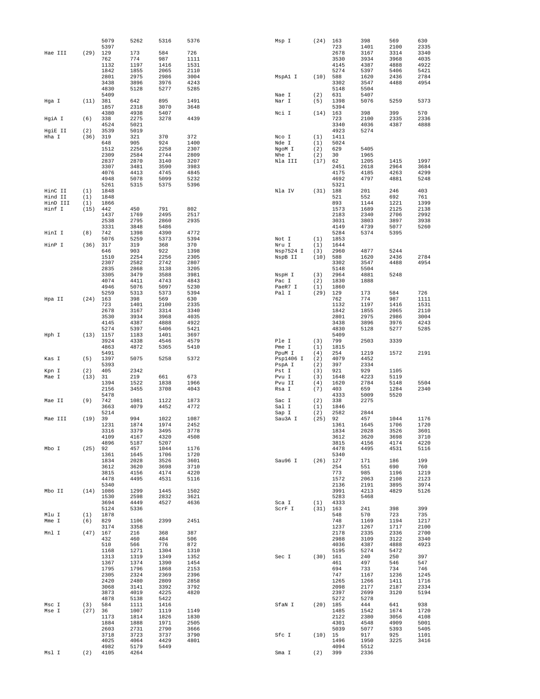|                  |             | 5079         | 5262         | 5316         | 5376         | Msp I                | (24)        | 163          | 398          | 569          | 630          |
|------------------|-------------|--------------|--------------|--------------|--------------|----------------------|-------------|--------------|--------------|--------------|--------------|
| Hae III          | (29)        | 5397<br>129  | 173          | 584          | 726          |                      |             | 723<br>2678  | 1401<br>3167 | 2100<br>3314 | 2335<br>3340 |
|                  |             | 762          | 774          | 987          | 1111         |                      |             | 3530         | 3934         | 3968         | 4035         |
|                  |             | 1132         | 1197         | 1416         | 1531         |                      |             | 4145         | 4387         | 4888         | 4922         |
|                  |             | 1842         | 1855         | 2065         | 2110         |                      |             | 5274         | 5397         | 5406         | 5421         |
|                  |             | 2801         | 2975         | 2986         | 3004         | MspA1 I              | $(10)$ 588  |              | 1620         | 2436         | 2784         |
|                  |             | 3438<br>4830 | 3896         | 3976         | 4243         |                      |             | 3302<br>5148 | 3547<br>5504 | 4488         | 4954         |
|                  |             | 5409         | 5128         | 5277         | 5285         | Nae I                | (2)         | 631          | 5407         |              |              |
| Hga I            | (11)        | 381          | 642          | 895          | 1491         | Nar I                | (5)         | 1398         | 5076         | 5259         | 5373         |
|                  |             | 1857         | 2318         | 3070         | 3648         |                      |             | 5394         |              |              |              |
|                  |             | 4380         | 4938         | 5407         |              | Nci I                | (14)        | 163          | 398          | 399          | 570          |
| HgiA I           | (6)         | 338          | 2275         | 3278         | 4439         |                      |             | 723          | 2100         | 2335         | 2336         |
|                  |             | 4524         | 5021         |              |              |                      |             | 3340         | 4036         | 4387         | 4888         |
| HgiE II<br>Hha I | (2)<br>(36) | 3539<br>319  | 5019<br>321  | 370          | 372          | Nco I                | (1)         | 4923<br>1411 | 5274         |              |              |
|                  |             | 648          | 905          | 924          | 1400         | Nde I                | (1)         | 5024         |              |              |              |
|                  |             | 1512         | 2256         | 2258         | 2307         | NgoM I               | (2)         | 629          | 5405         |              |              |
|                  |             | 2309         | 2584         | 2744         | 2809         | Nhe I                | (2)         | 30           | 1965         |              |              |
|                  |             | 2837         | 2870         | 3140         | 3207         | Nla III              | (17)        | 62           | 1205         | 1415         | 1997         |
|                  |             | 3307<br>4076 | 3481         | 3590         | 3983<br>4845 |                      |             | 2451<br>4175 | 2618         | 2964         | 3684<br>4299 |
|                  |             | 4948         | 4413<br>5078 | 4745<br>5099 | 5232         |                      |             | 4692         | 4185<br>4797 | 4263<br>4881 | 5248         |
|                  |             | 5261         | 5315         | 5375         | 5396         |                      |             | 5321         |              |              |              |
| HinC II          | (1)         | 1848         |              |              |              | Nla IV               | (31)        | 188          | 201          | 246          | 403          |
| Hind II          | (1)         | 1848         |              |              |              |                      |             | 521          | 552          | 692          | 761          |
| HinD III         | (1)         | 1866         |              |              |              |                      |             | 893          | 1144         | 1221         | 1399         |
| Hinf I           | $(15)$ 442  | 1437         | 450<br>1769  | 791<br>2495  | 802<br>2517  |                      |             | 1573<br>2183 | 1689<br>2340 | 2125<br>2706 | 2138<br>2992 |
|                  |             | 2538         | 2795         | 2860         | 2935         |                      |             | 3031         | 3803         | 3897         | 3938         |
|                  |             | 3331         | 3848         | 5486         |              |                      |             | 4149         | 4739         | 5077         | 5260         |
| HinI I           | (8)         | 742          | 1398         | 4390         | 4772         |                      |             | 5284         | 5374         | 5395         |              |
|                  |             | 5076         | 5259         | 5373         | 5394         | Not I                | (1)         | 1853         |              |              |              |
| HinP I           | (36)        | 317          | 319          | 368          | 370          | Nru I                | (1)         | 1644         |              |              |              |
|                  |             | 646<br>1510  | 903<br>2254  | 922<br>2256  | 1398<br>2305 | Nsp7524 I<br>NspB II | (3)<br>(10) | 2960<br>588  | 4877<br>1620 | 5244<br>2436 | 2784         |
|                  |             | 2307         | 2582         | 2742         | 2807         |                      |             | 3302         | 3547         | 4488         | 4954         |
|                  |             | 2835         | 2868         | 3138         | 3205         |                      |             | 5148         | 5504         |              |              |
|                  |             | 3305         | 3479         | 3588         | 3981         | NspH I               | (3)         | 2964         | 4881         | 5248         |              |
|                  |             | 4074         | 4411         | 4743         | 4843         | Pac I                | (2)         | 1830         | 1888         |              |              |
|                  |             | 4946         | 5076         | 5097         | 5230         | PaeR7 I              | (1)         | 1860         |              |              |              |
|                  |             | 5259         | 5313         | 5373<br>569  | 5394<br>630  | Pal I                | (29)        | 129<br>762   | 173<br>774   | 584<br>987   | 726<br>1111  |
| Hpa II           | (24)        | 163<br>723   | 398<br>1401  | 2100         | 2335         |                      |             | 1132         | 1197         | 1416         | 1531         |
|                  |             | 2678         | 3167         | 3314         | 3340         |                      |             | 1842         | 1855         | 2065         | 2110         |
|                  |             | 3530         | 3934         | 3968         | 4035         |                      |             | 2801         | 2975         | 2986         | 3004         |
|                  |             | 4145         | 4387         | 4888         | 4922         |                      |             | 3438         | 3896         | 3976         | 4243         |
|                  |             | 5274         | 5397         | 5406         | 5421         |                      |             | 4830         | 5128         | 5277         | 5285         |
| Hph I            | (13)        | 1157         | 1183         | 1401         | 3697         |                      |             | 5409         |              |              |              |
|                  |             | 3924<br>4863 | 4338<br>4872 | 4546<br>5365 | 4579<br>5410 | Ple I<br>Pme I       | (3)<br>(1)  | 799<br>1815  | 2503         | 3339         |              |
|                  |             | 5491         |              |              |              | PpuM I               | (4)         | 254          | 1219         | 1572         | 2191         |
| Kas I            | (5)         | 1397         | 5075         | 5258         | 5372         | Psp1406 I            | (2)         | 4079         | 4452         |              |              |
|                  |             | 5393         |              |              |              | PspA I               | (2)         | 397          | 2334         |              |              |
| Kpn I            | (2)         | 405          | 2342         |              |              | Pst I                | (3)         | 921          | 929          | 1105         |              |
| Mae I            | (13)        | 31           | 219          | 661          | 673          | Pvu I                | (3)         | 1648         | 4223         | 5119         |              |
|                  |             | 1394<br>2156 | 1522<br>3455 | 1838<br>3708 | 1966<br>4043 | Pvu II<br>Rsa I      | (4)<br>(7)  | 1620<br>403  | 2784<br>659  | 5148<br>1284 | 5504<br>2340 |
|                  |             | 5478         |              |              |              |                      |             | 4333         | 5009         | 5520         |              |
| Mae II           | (9)         | 742          | 1081         | 1122         | 1873         | Sac I                | (2)         | 338          | 2275         |              |              |
|                  |             | 3663         | 4079         | 4452         | 4772         | Sal I                | (1)         | 1846         |              |              |              |
|                  |             | 5214         |              |              |              | Sap I                | (2)         | 2582         | 2844         |              |              |
| Mae III          | (19)        | 39<br>1231   | 994<br>1874  | 1022<br>1974 | 1087<br>2452 | Sau3A I              | (25)        | 92<br>1361   | 457<br>1645  | 1044<br>1706 | 1176<br>1720 |
|                  |             | 3316         | 3379         | 3495         | 3778         |                      |             | 1834         | 2028         | 3526         | 3601         |
|                  |             | 4109         | 4167         | 4320         | 4508         |                      |             | 3612         | 3620         | 3698         | 3710         |
|                  |             | 4896         | 5187         | 5207         |              |                      |             | 3815         | 4156         | 4174         | 4220         |
| Mbo I            | (25)        | 92           | 457          | 1044         | 1176         |                      |             | 4478         | 4495         | 4531         | 5116         |
|                  |             | 1361         | 1645         | 1706         | 1720         |                      |             | 5340         |              |              | 199          |
|                  |             | 1834<br>3612 | 2028<br>3620 | 3526<br>3698 | 3601<br>3710 | Sau96 I              | (26)        | 127<br>254   | 171<br>551   | 186<br>690   | 760          |
|                  |             | 3815         | 4156         | 4174         | 4220         |                      |             | 773          | 985          | 1196         | 1219         |
|                  |             | 4478         | 4495         | 4531         | 5116         |                      |             | 1572         | 2063         | 2108         | 2123         |
|                  |             | 5340         |              |              |              |                      |             | 2136         | 2191         | 3895         | 3974         |
| Mbo II           | (14)        | 1086         | 1299         | 1445         | 1502         |                      |             | 3991         | 4213         | 4829         | 5126         |
|                  |             | 1530<br>3694 | 2598<br>4449 | 2832<br>4527 | 3621<br>4636 | Sca I                | (1)         | 5283<br>4333 | 5468         |              |              |
|                  |             | 5124         | 5336         |              |              | ScrF I               | (31)        | 163          | 241          | 398          | 399          |
| Mlu I            | (1)         | 1878         |              |              |              |                      |             | 548          | 570          | 723          | 735          |
| Mme I            | (6)         | 829          | 1106         | 2399         | 2451         |                      |             | 748          | 1169         | 1194         | 1217         |
|                  |             | 3174         | 3358         |              |              |                      |             | 1237         | 1267         | 1717         | 2100         |
| Mnl I            | (47)        | 167<br>432   | 216          | 368<br>484   | 387<br>506   |                      |             | 2178         | 2335         | 2336<br>3122 | 2700<br>3340 |
|                  |             | 510          | 460<br>566   | 776          | 872          |                      |             | 2988<br>4036 | 3109<br>4387 | 4888         | 4923         |
|                  |             | 1168         | 1271         | 1304         | 1310         |                      |             | 5195         | 5274         | 5472         |              |
|                  |             | 1313         | 1319         | 1349         | 1352         | Sec I                | (30)        | 161          | 240          | 250          | 397          |
|                  |             | 1367         | 1374         | 1390         | 1454         |                      |             | 461          | 497          | 546          | 547          |
|                  |             | 1795         | 1796         | 1868         | 2153         |                      |             | 694          | 733          | 734          | 746          |
|                  |             | 2305<br>2420 | 2324<br>2480 | 2369<br>2809 | 2396<br>2858 |                      |             | 747<br>1265  | 1167<br>1266 | 1236<br>1411 | 1245<br>1716 |
|                  |             | 3068         | 3141         | 3392         | 3792         |                      |             | 2098         | 2177         | 2187         | 2334         |
|                  |             | 3873         | 4019         | 4225         | 4820         |                      |             | 2397         | 2699         | 3120         | 5194         |
|                  |             | 4878         | 5138         | 5422         |              |                      |             | 5272         | 5278         |              |              |
| Msc I            | (3)         | 584          | 1111         | 1416         |              | SfaN I               | (20)        | 185          | 444          | 641          | 938          |
| Mse I            | (27)        | 36           | 1007         | 1119         | 1149         |                      |             | 1485         | 1542         | 1674         | 1720         |
|                  |             | 1173<br>1884 | 1814<br>1888 | 1826<br>1971 | 1830<br>2505 |                      |             | 2122<br>4301 | 2380<br>4548 | 3056<br>4909 | 4108<br>5001 |
|                  |             | 2603         | 2731         | 2790         | 3666         |                      |             | 5039         | 5077         | 5393         | 5405         |
|                  |             | 3718         | 3723         | 3737         | 3790         | Sfc I                | (10)        | 15           | 917          | 925          | 1101         |
|                  |             | 4025         | 4064         | 4429         | 4801         |                      |             | 1496         | 1950         | 3225         | 3416         |
|                  |             | 4982         | 5179         | 5449         |              |                      |             | 4094         | 5512         |              |              |
| Msl I            | (2)         | 4105         | 4264         |              |              | Sma I                | (2)         | 399          | 2336         |              |              |